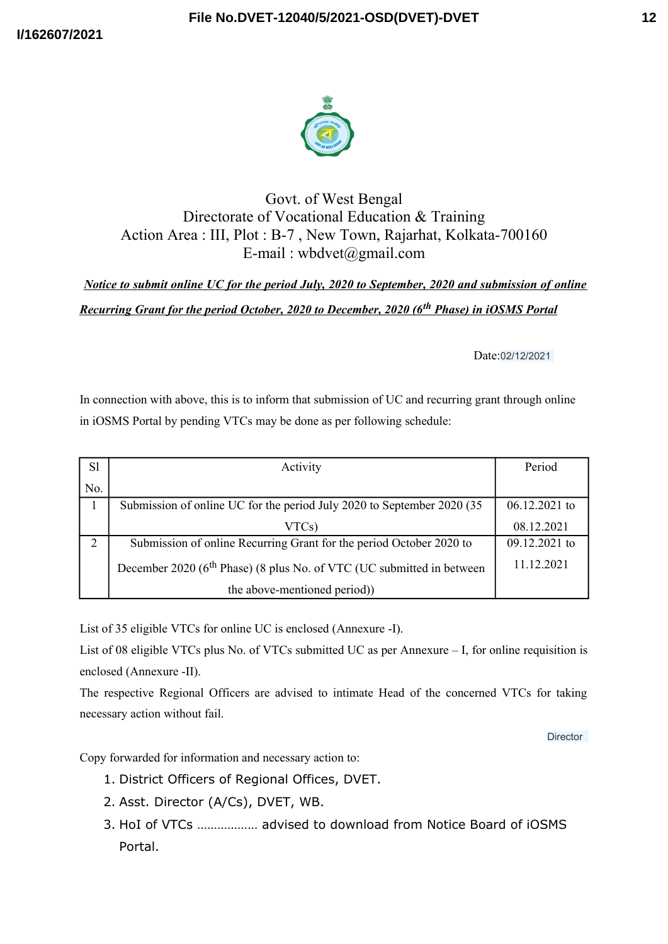



## Govt. of West Bengal Directorate of Vocational Education & Training Action Area : III, Plot : B-7 , New Town, Rajarhat, Kolkata-700160 E-mail : wbdvet@gmail.com

*Notice to submit online UC for the period July, 2020 to September, 2020 and submission of online Recurring Grant for the period October, 2020 to December, 2020 (6th Phase) in iOSMS Portal*

Date:02/12/2021

In connection with above, this is to inform that submission of UC and recurring grant through online in iOSMS Portal by pending VTCs may be done as per following schedule:

| <b>Sl</b> | Activity                                                                          | Period          |
|-----------|-----------------------------------------------------------------------------------|-----------------|
| No.       |                                                                                   |                 |
|           | Submission of online UC for the period July 2020 to September 2020 (35)           | $06.12.2021$ to |
|           | VTCs)                                                                             | 08.12.2021      |
| 2         | Submission of online Recurring Grant for the period October 2020 to               | 09.12.2021 to   |
|           | December 2020 (6 <sup>th</sup> Phase) (8 plus No. of VTC (UC submitted in between | 11.12.2021      |
|           | the above-mentioned period))                                                      |                 |

List of 35 eligible VTCs for online UC is enclosed (Annexure -I).

List of 08 eligible VTCs plus No. of VTCs submitted UC as per Annexure – I, for online requisition is enclosed (Annexure -II).

The respective Regional Officers are advised to intimate Head of the concerned VTCs for taking necessary action without fail.

Director

Copy forwarded for information and necessary action to:

- 1. District Officers of Regional Offices, DVET.
- 2. Asst. Director (A/Cs), DVET, WB.
- 3. HoI of VTCs ……………… advised to download from Notice Board of iOSMS Portal.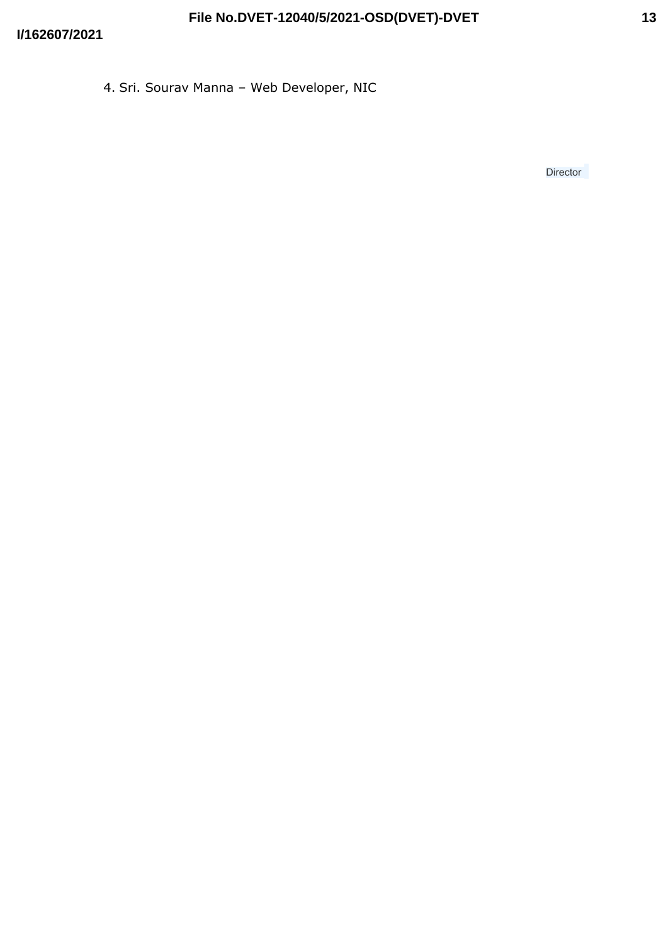**Director**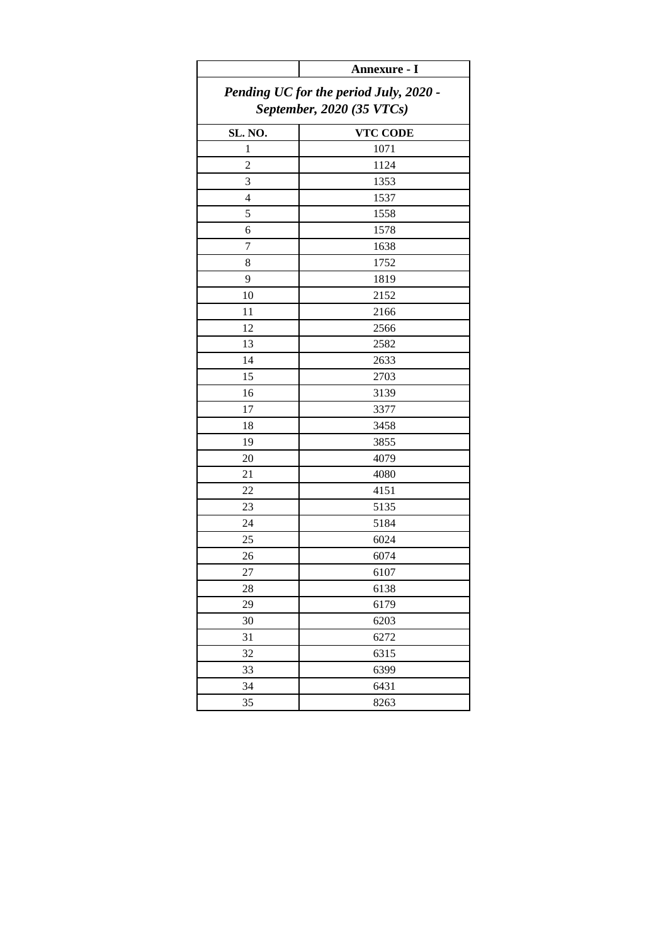|                           | Annexure - I                           |  |  |
|---------------------------|----------------------------------------|--|--|
|                           | Pending UC for the period July, 2020 - |  |  |
| September, 2020 (35 VTCs) |                                        |  |  |
| SL. NO.                   |                                        |  |  |
| 1                         | <b>VTC CODE</b><br>1071                |  |  |
| $\overline{c}$            | 1124                                   |  |  |
| 3                         | 1353                                   |  |  |
| 4                         | 1537                                   |  |  |
| 5                         | 1558                                   |  |  |
| 6                         | 1578                                   |  |  |
| $\overline{7}$            | 1638                                   |  |  |
| 8                         | 1752                                   |  |  |
| 9                         |                                        |  |  |
| 10                        | 1819                                   |  |  |
|                           | 2152                                   |  |  |
| 11                        | 2166                                   |  |  |
| 12                        | 2566                                   |  |  |
| 13                        | 2582                                   |  |  |
| 14                        | 2633                                   |  |  |
| 15                        | 2703                                   |  |  |
| 16                        | 3139                                   |  |  |
| 17                        | 3377                                   |  |  |
| 18                        | 3458                                   |  |  |
| 19                        | 3855                                   |  |  |
| 20                        | 4079                                   |  |  |
| 21                        | 4080                                   |  |  |
| 22                        | 4151                                   |  |  |
| 23                        | 5135                                   |  |  |
| 24                        | 5184                                   |  |  |
| 25                        | 6024                                   |  |  |
| 26                        | 6074                                   |  |  |
| 27                        | 6107                                   |  |  |
| 28                        | 6138                                   |  |  |
| 29                        | 6179                                   |  |  |
| 30                        | 6203                                   |  |  |
| 31                        | 6272                                   |  |  |
| 32                        | 6315                                   |  |  |
| 33                        | 6399                                   |  |  |
| 34                        | 6431                                   |  |  |
| 35                        | 8263                                   |  |  |